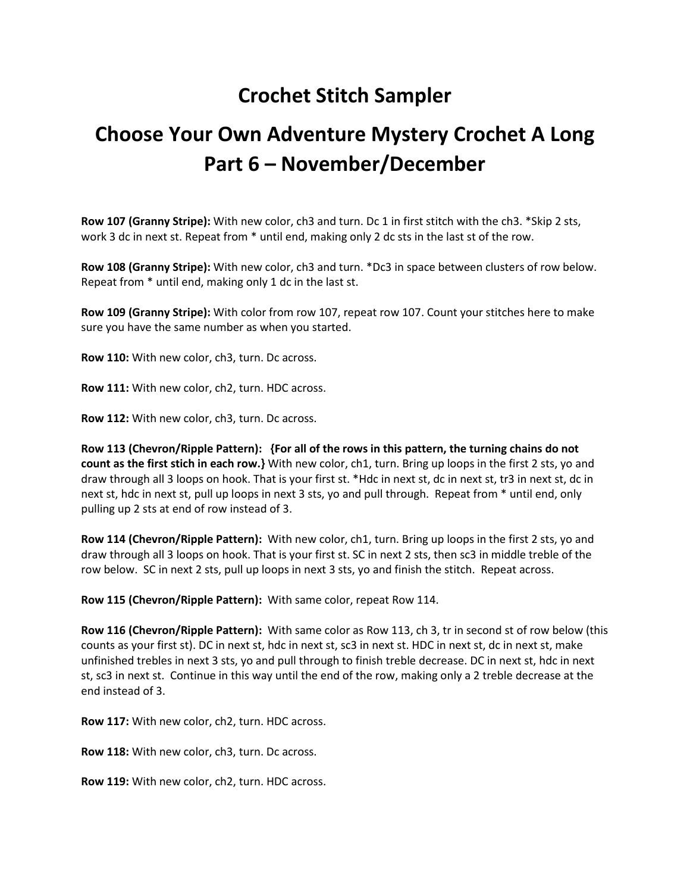## **Crochet Stitch Sampler**

## **Choose Your Own Adventure Mystery Crochet A Long Part 6 – November/December**

**Row 107 (Granny Stripe):** With new color, ch3 and turn. Dc 1 in first stitch with the ch3. \*Skip 2 sts, work 3 dc in next st. Repeat from  $*$  until end, making only 2 dc sts in the last st of the row.

**Row 108 (Granny Stripe):** With new color, ch3 and turn. \*Dc3 in space between clusters of row below. Repeat from \* until end, making only 1 dc in the last st.

**Row 109 (Granny Stripe):** With color from row 107, repeat row 107. Count your stitches here to make sure you have the same number as when you started.

**Row 110:** With new color, ch3, turn. Dc across.

**Row 111:** With new color, ch2, turn. HDC across.

**Row 112:** With new color, ch3, turn. Dc across.

**Row 113 (Chevron/Ripple Pattern): {For all of the rows in this pattern, the turning chains do not count as the first stich in each row.}** With new color, ch1, turn. Bring up loops in the first 2 sts, yo and draw through all 3 loops on hook. That is your first st. \*Hdc in next st, dc in next st, tr3 in next st, dc in next st, hdc in next st, pull up loops in next 3 sts, yo and pull through. Repeat from \* until end, only pulling up 2 sts at end of row instead of 3.

**Row 114 (Chevron/Ripple Pattern):** With new color, ch1, turn. Bring up loops in the first 2 sts, yo and draw through all 3 loops on hook. That is your first st. SC in next 2 sts, then sc3 in middle treble of the row below. SC in next 2 sts, pull up loops in next 3 sts, yo and finish the stitch. Repeat across.

**Row 115 (Chevron/Ripple Pattern):** With same color, repeat Row 114.

**Row 116 (Chevron/Ripple Pattern):** With same color as Row 113, ch 3, tr in second st of row below (this counts as your first st). DC in next st, hdc in next st, sc3 in next st. HDC in next st, dc in next st, make unfinished trebles in next 3 sts, yo and pull through to finish treble decrease. DC in next st, hdc in next st, sc3 in next st. Continue in this way until the end of the row, making only a 2 treble decrease at the end instead of 3.

**Row 117:** With new color, ch2, turn. HDC across.

**Row 118:** With new color, ch3, turn. Dc across.

**Row 119:** With new color, ch2, turn. HDC across.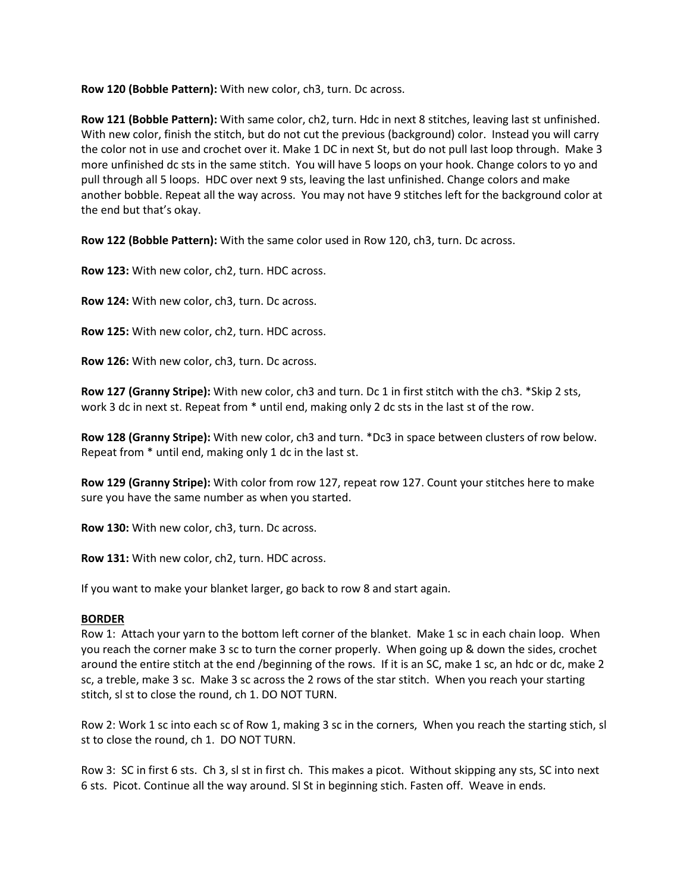**Row 120 (Bobble Pattern):** With new color, ch3, turn. Dc across.

**Row 121 (Bobble Pattern):** With same color, ch2, turn. Hdc in next 8 stitches, leaving last st unfinished. With new color, finish the stitch, but do not cut the previous (background) color. Instead you will carry the color not in use and crochet over it. Make 1 DC in next St, but do not pull last loop through. Make 3 more unfinished dc sts in the same stitch. You will have 5 loops on your hook. Change colors to yo and pull through all 5 loops. HDC over next 9 sts, leaving the last unfinished. Change colors and make another bobble. Repeat all the way across. You may not have 9 stitches left for the background color at the end but that's okay.

**Row 122 (Bobble Pattern):** With the same color used in Row 120, ch3, turn. Dc across.

**Row 123:** With new color, ch2, turn. HDC across.

**Row 124:** With new color, ch3, turn. Dc across.

**Row 125:** With new color, ch2, turn. HDC across.

**Row 126:** With new color, ch3, turn. Dc across.

**Row 127 (Granny Stripe):** With new color, ch3 and turn. Dc 1 in first stitch with the ch3. \*Skip 2 sts, work 3 dc in next st. Repeat from  $*$  until end, making only 2 dc sts in the last st of the row.

**Row 128 (Granny Stripe):** With new color, ch3 and turn. \*Dc3 in space between clusters of row below. Repeat from \* until end, making only 1 dc in the last st.

**Row 129 (Granny Stripe):** With color from row 127, repeat row 127. Count your stitches here to make sure you have the same number as when you started.

**Row 130:** With new color, ch3, turn. Dc across.

**Row 131:** With new color, ch2, turn. HDC across.

If you want to make your blanket larger, go back to row 8 and start again.

## **BORDER**

Row 1: Attach your yarn to the bottom left corner of the blanket. Make 1 sc in each chain loop. When you reach the corner make 3 sc to turn the corner properly. When going up & down the sides, crochet around the entire stitch at the end /beginning of the rows. If it is an SC, make 1 sc, an hdc or dc, make 2 sc, a treble, make 3 sc. Make 3 sc across the 2 rows of the star stitch. When you reach your starting stitch, sl st to close the round, ch 1. DO NOT TURN.

Row 2: Work 1 sc into each sc of Row 1, making 3 sc in the corners, When you reach the starting stich, sl st to close the round, ch 1. DO NOT TURN.

Row 3: SC in first 6 sts. Ch 3, sl st in first ch. This makes a picot. Without skipping any sts, SC into next 6 sts. Picot. Continue all the way around. Sl St in beginning stich. Fasten off. Weave in ends.